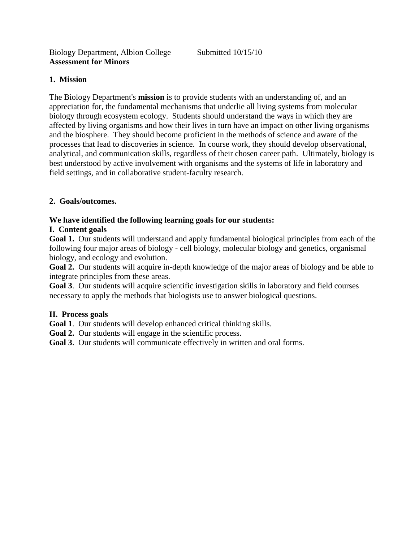## **1. Mission**

The Biology Department's **mission** is to provide students with an understanding of, and an appreciation for, the fundamental mechanisms that underlie all living systems from molecular biology through ecosystem ecology. Students should understand the ways in which they are affected by living organisms and how their lives in turn have an impact on other living organisms and the biosphere. They should become proficient in the methods of science and aware of the processes that lead to discoveries in science. In course work, they should develop observational, analytical, and communication skills, regardless of their chosen career path. Ultimately, biology is best understood by active involvement with organisms and the systems of life in laboratory and field settings, and in collaborative student-faculty research.

### **2. Goals/outcomes.**

# **We have identified the following learning goals for our students:**

# **I. Content goals**

**Goal 1.** Our students will understand and apply fundamental biological principles from each of the following four major areas of biology - cell biology, molecular biology and genetics, organismal biology, and ecology and evolution.

**Goal 2.** Our students will acquire in-depth knowledge of the major areas of biology and be able to integrate principles from these areas.

**Goal 3**. Our students will acquire scientific investigation skills in laboratory and field courses necessary to apply the methods that biologists use to answer biological questions.

### **II. Process goals**

**Goal 1**. Our students will develop enhanced critical thinking skills.

Goal 2. Our students will engage in the scientific process.

**Goal 3**. Our students will communicate effectively in written and oral forms.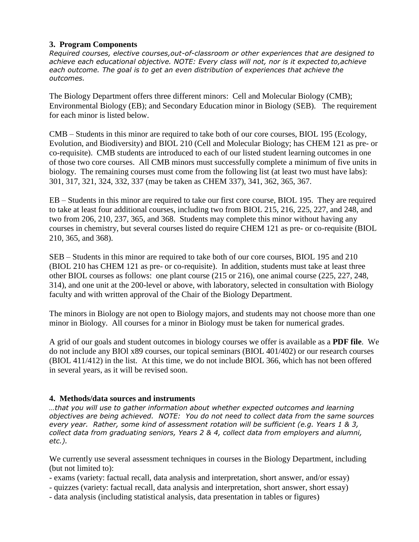### **3. Program Components**

*Required courses, elective courses,out-of-classroom or other experiences that are designed to achieve each educational objective. NOTE: Every class will not, nor is it expected to,achieve each outcome. The goal is to get an even distribution of experiences that achieve the outcomes.*

The Biology Department offers three different minors: Cell and Molecular Biology (CMB); Environmental Biology (EB); and Secondary Education minor in Biology (SEB). The requirement for each minor is listed below.

CMB – Students in this minor are required to take both of our core courses, BIOL 195 (Ecology, Evolution, and Biodiversity) and BIOL 210 (Cell and Molecular Biology; has CHEM 121 as pre- or co-requisite). CMB students are introduced to each of our listed student learning outcomes in one of those two core courses. All CMB minors must successfully complete a minimum of five units in biology. The remaining courses must come from the following list (at least two must have labs): 301, 317, 321, 324, 332, 337 (may be taken as CHEM 337), 341, 362, 365, 367.

EB – Students in this minor are required to take our first core course, BIOL 195. They are required to take at least four additional courses, including two from BIOL 215, 216, 225, 227, and 248, and two from 206, 210, 237, 365, and 368. Students may complete this minor without having any courses in chemistry, but several courses listed do require CHEM 121 as pre- or co-requisite (BIOL 210, 365, and 368).

SEB – Students in this minor are required to take both of our core courses, BIOL 195 and 210 (BIOL 210 has CHEM 121 as pre- or co-requisite). In addition, students must take at least three other BIOL courses as follows: one plant course (215 or 216), one animal course (225, 227, 248, 314), and one unit at the 200-level or above, with laboratory, selected in consultation with Biology faculty and with written approval of the Chair of the Biology Department.

The minors in Biology are not open to Biology majors, and students may not choose more than one minor in Biology. All courses for a minor in Biology must be taken for numerical grades.

A grid of our goals and student outcomes in biology courses we offer is available as a **PDF file**. We do not include any BIOl x89 courses, our topical seminars (BIOL 401/402) or our research courses (BIOL 411/412) in the list. At this time, we do not include BIOL 366, which has not been offered in several years, as it will be revised soon.

### **4. Methods/data sources and instruments**

*…that you will use to gather information about whether expected outcomes and learning objectives are being achieved. NOTE: You do not need to collect data from the same sources every year. Rather, some kind of assessment rotation will be sufficient (e.g. Years 1 & 3, collect data from graduating seniors, Years 2 & 4, collect data from employers and alumni, etc.).*

We currently use several assessment techniques in courses in the Biology Department, including (but not limited to):

- exams (variety: factual recall, data analysis and interpretation, short answer, and/or essay)
- quizzes (variety: factual recall, data analysis and interpretation, short answer, short essay)
- data analysis (including statistical analysis, data presentation in tables or figures)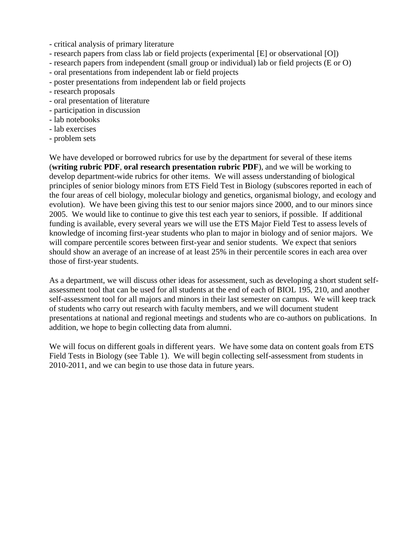- critical analysis of primary literature
- research papers from class lab or field projects (experimental [E] or observational [O])
- research papers from independent (small group or individual) lab or field projects (E or O)
- oral presentations from independent lab or field projects
- poster presentations from independent lab or field projects
- research proposals
- oral presentation of literature
- participation in discussion
- lab notebooks
- lab exercises
- problem sets

We have developed or borrowed rubrics for use by the department for several of these items (**writing rubric PDF**, **oral research presentation rubric PDF**), and we will be working to develop department-wide rubrics for other items. We will assess understanding of biological principles of senior biology minors from ETS Field Test in Biology (subscores reported in each of the four areas of cell biology, molecular biology and genetics, organismal biology, and ecology and evolution). We have been giving this test to our senior majors since 2000, and to our minors since 2005. We would like to continue to give this test each year to seniors, if possible. If additional funding is available, every several years we will use the ETS Major Field Test to assess levels of knowledge of incoming first-year students who plan to major in biology and of senior majors. We will compare percentile scores between first-year and senior students. We expect that seniors should show an average of an increase of at least 25% in their percentile scores in each area over those of first-year students.

As a department, we will discuss other ideas for assessment, such as developing a short student selfassessment tool that can be used for all students at the end of each of BIOL 195, 210, and another self-assessment tool for all majors and minors in their last semester on campus. We will keep track of students who carry out research with faculty members, and we will document student presentations at national and regional meetings and students who are co-authors on publications. In addition, we hope to begin collecting data from alumni.

We will focus on different goals in different years. We have some data on content goals from ETS Field Tests in Biology (see Table 1). We will begin collecting self-assessment from students in 2010-2011, and we can begin to use those data in future years.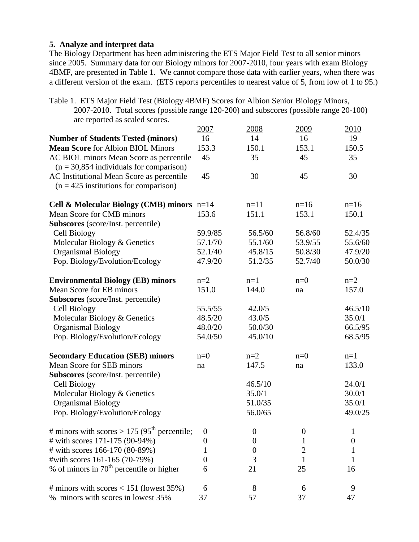### **5. Analyze and interpret data**

The Biology Department has been administering the ETS Major Field Test to all senior minors since 2005. Summary data for our Biology minors for 2007-2010, four years with exam Biology 4BMF, are presented in Table 1. We cannot compare those data with earlier years, when there was a different version of the exam. (ETS reports percentiles to nearest value of 5, from low of 1 to 95.)

Table 1. ETS Major Field Test (Biology 4BMF) Scores for Albion Senior Biology Minors, 2007-2010. Total scores (possible range 120-200) and subscores (possible range 20-100) are reported as scaled scores.

| $\mu$ . Teported as search secres.                       | 2007        | 2008             | 2009     | 2010    |
|----------------------------------------------------------|-------------|------------------|----------|---------|
| <b>Number of Students Tested (minors)</b>                | 16          | 14               | 16       | 19      |
| <b>Mean Score</b> for Albion BIOL Minors                 | 153.3       | 150.1            | 153.1    | 150.5   |
| AC BIOL minors Mean Score as percentile                  | 45          | 35               | 45       | 35      |
| $(n = 30,854)$ individuals for comparison)               |             |                  |          |         |
| AC Institutional Mean Score as percentile                | 45          | 30               | 45       | 30      |
| $(n = 425$ institutions for comparison)                  |             |                  |          |         |
| Cell & Molecular Biology (CMB) minors $n=14$             |             | $n=11$           | $n=16$   | $n=16$  |
| Mean Score for CMB minors                                | 153.6       | 151.1            | 153.1    | 150.1   |
| <b>Subscores</b> (score/Inst. percentile)                |             |                  |          |         |
| Cell Biology                                             | 59.9/85     | 56.5/60          | 56.8/60  | 52.4/35 |
| Molecular Biology & Genetics                             | 57.1/70     | 55.1/60          | 53.9/55  | 55.6/60 |
| <b>Organismal Biology</b>                                | 52.1/40     | 45.8/15          | 50.8/30  | 47.9/20 |
| Pop. Biology/Evolution/Ecology                           | 47.9/20     | 51.2/35          | 52.7/40  | 50.0/30 |
| <b>Environmental Biology (EB) minors</b>                 | $n=2$       | $n=1$            | $n=0$    | $n=2$   |
| Mean Score for EB minors                                 | 151.0       | 144.0            | na       | 157.0   |
| <b>Subscores</b> (score/Inst. percentile)                |             |                  |          |         |
| Cell Biology                                             | 55.5/55     | 42.0/5           |          | 46.5/10 |
| Molecular Biology & Genetics                             | 48.5/20     | 43.0/5           |          | 35.0/1  |
| <b>Organismal Biology</b>                                | 48.0/20     | 50.0/30          |          | 66.5/95 |
| Pop. Biology/Evolution/Ecology                           | 54.0/50     | 45.0/10          |          | 68.5/95 |
| <b>Secondary Education (SEB) minors</b>                  | $n=0$       | $n=2$            | $n=0$    | $n=1$   |
| Mean Score for SEB minors                                | na          | 147.5            | na       | 133.0   |
| <b>Subscores</b> (score/Inst. percentile)                |             |                  |          |         |
| Cell Biology                                             |             | 46.5/10          |          | 24.0/1  |
| Molecular Biology & Genetics                             |             | 35.0/1           |          | 30.0/1  |
| <b>Organismal Biology</b>                                |             | 51.0/35          |          | 35.0/1  |
| Pop. Biology/Evolution/Ecology                           |             | 56.0/65          |          | 49.0/25 |
| # minors with scores > 175 (95 <sup>th</sup> percentile; | $\mathbf 0$ | $\boldsymbol{0}$ | $\theta$ |         |
| # with scores 171-175 (90-94%)                           | 0           | 0                | 1        | O       |
| # with scores 166-170 (80-89%)                           |             |                  | 2        |         |
| #with scores 161-165 (70-79%)                            | 0           | 3                |          |         |
| % of minors in $70th$ percentile or higher               | 6           | 21               | 25       | 16      |
| # minors with scores < $151$ (lowest 35%)                | 6           | 8                | 6        | 9       |
| % minors with scores in lowest 35%                       | 37          | 57               | 37       | 47      |